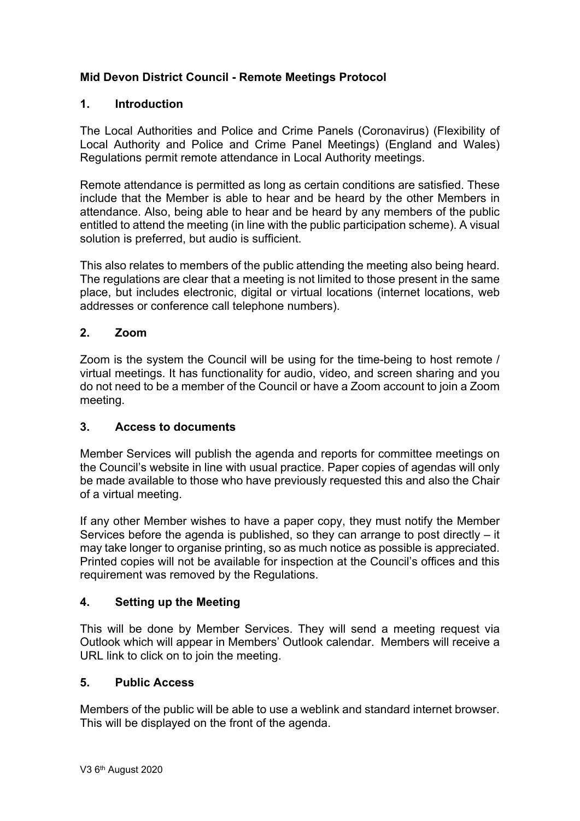# **Mid Devon District Council - Remote Meetings Protocol**

### **1. Introduction**

The Local Authorities and Police and Crime Panels (Coronavirus) (Flexibility of Local Authority and Police and Crime Panel Meetings) (England and Wales) Regulations permit remote attendance in Local Authority meetings.

Remote attendance is permitted as long as certain conditions are satisfied. These include that the Member is able to hear and be heard by the other Members in attendance. Also, being able to hear and be heard by any members of the public entitled to attend the meeting (in line with the public participation scheme). A visual solution is preferred, but audio is sufficient.

This also relates to members of the public attending the meeting also being heard. The regulations are clear that a meeting is not limited to those present in the same place, but includes electronic, digital or virtual locations (internet locations, web addresses or conference call telephone numbers).

#### **2. Zoom**

Zoom is the system the Council will be using for the time-being to host remote / virtual meetings. It has functionality for audio, video, and screen sharing and you do not need to be a member of the Council or have a Zoom account to join a Zoom meeting.

#### **3. Access to documents**

Member Services will publish the agenda and reports for committee meetings on the Council's website in line with usual practice. Paper copies of agendas will only be made available to those who have previously requested this and also the Chair of a virtual meeting.

If any other Member wishes to have a paper copy, they must notify the Member Services before the agenda is published, so they can arrange to post directly – it may take longer to organise printing, so as much notice as possible is appreciated. Printed copies will not be available for inspection at the Council's offices and this requirement was removed by the Regulations.

# **4. Setting up the Meeting**

This will be done by Member Services. They will send a meeting request via Outlook which will appear in Members' Outlook calendar. Members will receive a URL link to click on to join the meeting.

# **5. Public Access**

Members of the public will be able to use a weblink and standard internet browser. This will be displayed on the front of the agenda.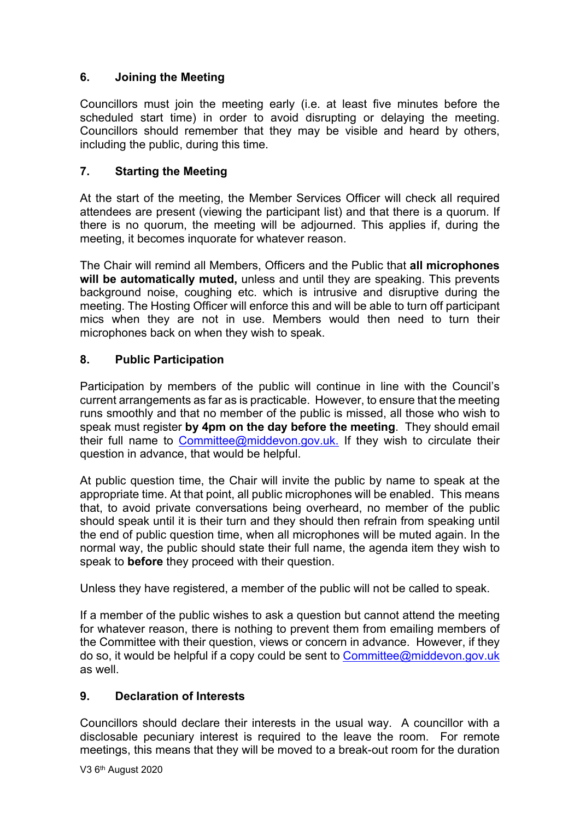# **6. Joining the Meeting**

Councillors must join the meeting early (i.e. at least five minutes before the scheduled start time) in order to avoid disrupting or delaying the meeting. Councillors should remember that they may be visible and heard by others, including the public, during this time.

# **7. Starting the Meeting**

At the start of the meeting, the Member Services Officer will check all required attendees are present (viewing the participant list) and that there is a quorum. If there is no quorum, the meeting will be adjourned. This applies if, during the meeting, it becomes inquorate for whatever reason.

The Chair will remind all Members, Officers and the Public that **all microphones will be automatically muted,** unless and until they are speaking. This prevents background noise, coughing etc. which is intrusive and disruptive during the meeting. The Hosting Officer will enforce this and will be able to turn off participant mics when they are not in use. Members would then need to turn their microphones back on when they wish to speak.

# **8. Public Participation**

Participation by members of the public will continue in line with the Council's current arrangements as far as is practicable. However, to ensure that the meeting runs smoothly and that no member of the public is missed, all those who wish to speak must register **by 4pm on the day before the meeting**. They should email their full name to [Committee@middevon.gov.uk](mailto:Committee@middevon.gov.uk). If they wish to circulate their question in advance, that would be helpful.

At public question time, the Chair will invite the public by name to speak at the appropriate time. At that point, all public microphones will be enabled. This means that, to avoid private conversations being overheard, no member of the public should speak until it is their turn and they should then refrain from speaking until the end of public question time, when all microphones will be muted again. In the normal way, the public should state their full name, the agenda item they wish to speak to **before** they proceed with their question.

Unless they have registered, a member of the public will not be called to speak.

If a member of the public wishes to ask a question but cannot attend the meeting for whatever reason, there is nothing to prevent them from emailing members of the Committee with their question, views or concern in advance. However, if they do so, it would be helpful if a copy could be sent to [Committee@middevon.gov.uk](mailto:Committee@middevon.gov.uk) as well.

# **9. Declaration of Interests**

Councillors should declare their interests in the usual way. A councillor with a disclosable pecuniary interest is required to the leave the room. For remote meetings, this means that they will be moved to a break-out room for the duration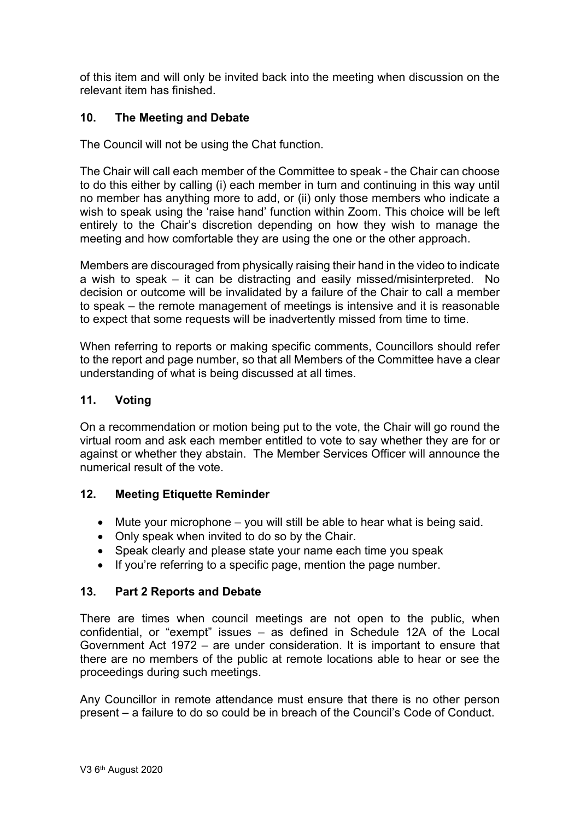of this item and will only be invited back into the meeting when discussion on the relevant item has finished.

# **10. The Meeting and Debate**

The Council will not be using the Chat function.

The Chair will call each member of the Committee to speak - the Chair can choose to do this either by calling (i) each member in turn and continuing in this way until no member has anything more to add, or (ii) only those members who indicate a wish to speak using the 'raise hand' function within Zoom. This choice will be left entirely to the Chair's discretion depending on how they wish to manage the meeting and how comfortable they are using the one or the other approach.

Members are discouraged from physically raising their hand in the video to indicate a wish to speak – it can be distracting and easily missed/misinterpreted. No decision or outcome will be invalidated by a failure of the Chair to call a member to speak – the remote management of meetings is intensive and it is reasonable to expect that some requests will be inadvertently missed from time to time.

When referring to reports or making specific comments, Councillors should refer to the report and page number, so that all Members of the Committee have a clear understanding of what is being discussed at all times.

# **11. Voting**

On a recommendation or motion being put to the vote, the Chair will go round the virtual room and ask each member entitled to vote to say whether they are for or against or whether they abstain. The Member Services Officer will announce the numerical result of the vote.

# **12. Meeting Etiquette Reminder**

- Mute your microphone you will still be able to hear what is being said.
- Only speak when invited to do so by the Chair.
- Speak clearly and please state your name each time you speak
- If you're referring to a specific page, mention the page number.

# **13. Part 2 Reports and Debate**

There are times when council meetings are not open to the public, when confidential, or "exempt" issues – as defined in Schedule 12A of the Local Government Act 1972 – are under consideration. It is important to ensure that there are no members of the public at remote locations able to hear or see the proceedings during such meetings.

Any Councillor in remote attendance must ensure that there is no other person present – a failure to do so could be in breach of the Council's Code of Conduct.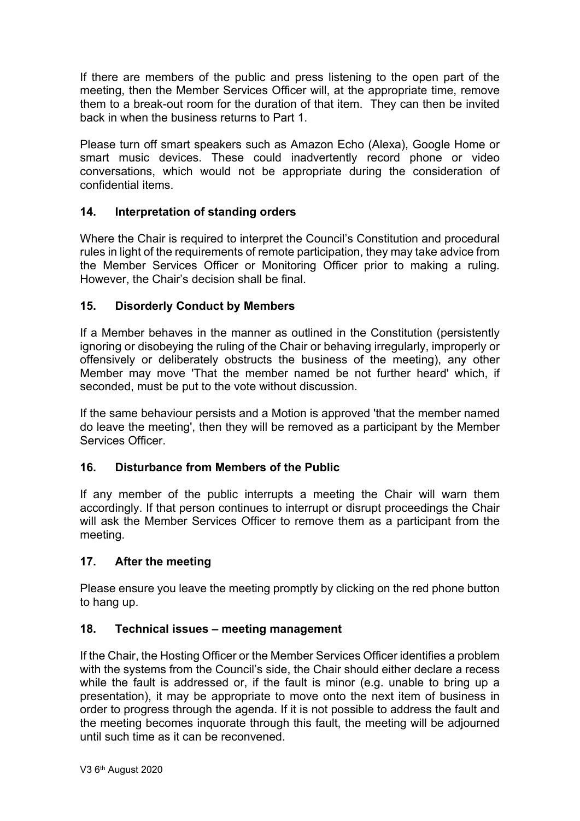If there are members of the public and press listening to the open part of the meeting, then the Member Services Officer will, at the appropriate time, remove them to a break-out room for the duration of that item. They can then be invited back in when the business returns to Part 1.

Please turn off smart speakers such as Amazon Echo (Alexa), Google Home or smart music devices. These could inadvertently record phone or video conversations, which would not be appropriate during the consideration of confidential items.

## **14. Interpretation of standing orders**

Where the Chair is required to interpret the Council's Constitution and procedural rules in light of the requirements of remote participation, they may take advice from the Member Services Officer or Monitoring Officer prior to making a ruling. However, the Chair's decision shall be final.

#### **15. Disorderly Conduct by Members**

If a Member behaves in the manner as outlined in the Constitution (persistently ignoring or disobeying the ruling of the Chair or behaving irregularly, improperly or offensively or deliberately obstructs the business of the meeting), any other Member may move 'That the member named be not further heard' which, if seconded, must be put to the vote without discussion.

If the same behaviour persists and a Motion is approved 'that the member named do leave the meeting', then they will be removed as a participant by the Member Services Officer.

# **16. Disturbance from Members of the Public**

If any member of the public interrupts a meeting the Chair will warn them accordingly. If that person continues to interrupt or disrupt proceedings the Chair will ask the Member Services Officer to remove them as a participant from the meeting.

#### **17. After the meeting**

Please ensure you leave the meeting promptly by clicking on the red phone button to hang up.

#### **18. Technical issues – meeting management**

If the Chair, the Hosting Officer or the Member Services Officer identifies a problem with the systems from the Council's side, the Chair should either declare a recess while the fault is addressed or, if the fault is minor (e.g. unable to bring up a presentation), it may be appropriate to move onto the next item of business in order to progress through the agenda. If it is not possible to address the fault and the meeting becomes inquorate through this fault, the meeting will be adjourned until such time as it can be reconvened.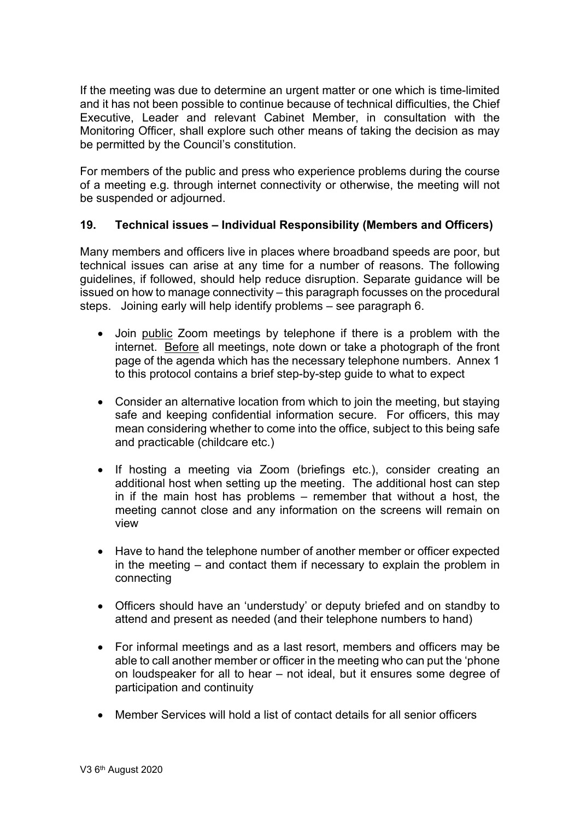If the meeting was due to determine an urgent matter or one which is time-limited and it has not been possible to continue because of technical difficulties, the Chief Executive, Leader and relevant Cabinet Member, in consultation with the Monitoring Officer, shall explore such other means of taking the decision as may be permitted by the Council's constitution.

For members of the public and press who experience problems during the course of a meeting e.g. through internet connectivity or otherwise, the meeting will not be suspended or adjourned.

#### **19. Technical issues – Individual Responsibility (Members and Officers)**

Many members and officers live in places where broadband speeds are poor, but technical issues can arise at any time for a number of reasons. The following guidelines, if followed, should help reduce disruption. Separate guidance will be issued on how to manage connectivity – this paragraph focusses on the procedural steps. Joining early will help identify problems – see paragraph 6.

- Join public Zoom meetings by telephone if there is a problem with the internet. Before all meetings, note down or take a photograph of the front page of the agenda which has the necessary telephone numbers. Annex 1 to this protocol contains a brief step-by-step guide to what to expect
- Consider an alternative location from which to join the meeting, but staying safe and keeping confidential information secure. For officers, this may mean considering whether to come into the office, subject to this being safe and practicable (childcare etc.)
- If hosting a meeting via Zoom (briefings etc.), consider creating an additional host when setting up the meeting. The additional host can step in if the main host has problems – remember that without a host, the meeting cannot close and any information on the screens will remain on view
- Have to hand the telephone number of another member or officer expected in the meeting – and contact them if necessary to explain the problem in connecting
- Officers should have an 'understudy' or deputy briefed and on standby to attend and present as needed (and their telephone numbers to hand)
- For informal meetings and as a last resort, members and officers may be able to call another member or officer in the meeting who can put the 'phone on loudspeaker for all to hear – not ideal, but it ensures some degree of participation and continuity
- Member Services will hold a list of contact details for all senior officers